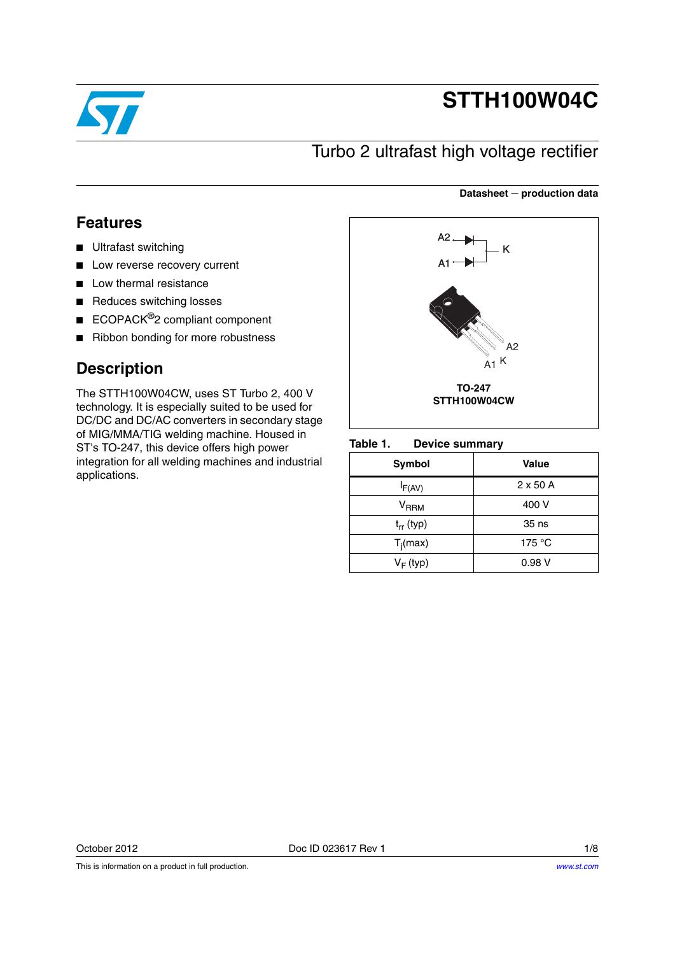

# **STTH100W04C**

**Datasheet production data**

## Turbo 2 ultrafast high voltage rectifier

### **Features**

- Ultrafast switching
- Low reverse recovery current
- Low thermal resistance
- Reduces switching losses
- ECOPACK<sup>®</sup>2 compliant component
- Ribbon bonding for more robustness

### **Description**

The STTH100W04CW, uses ST Turbo 2, 400 V technology. It is especially suited to be used for DC/DC and DC/AC converters in secondary stage of MIG/MMA/TIG welding machine. Housed in ST's TO-247, this device offers high power integration for all welding machines and industrial applications.



### Table 1. **Device summary**

| Symbol              | Value           |
|---------------------|-----------------|
| $I_{F(AV)}$         | $2 \times 50$ A |
| $\rm{V}_{\rm{RRM}}$ | 400 V           |
| $t_{rr}$ (typ)      | 35 ns           |
| $T_i(max)$          | 175 $\degree$ C |
| $V_F$ (typ)         | 0.98V           |

This is information on a product in full production.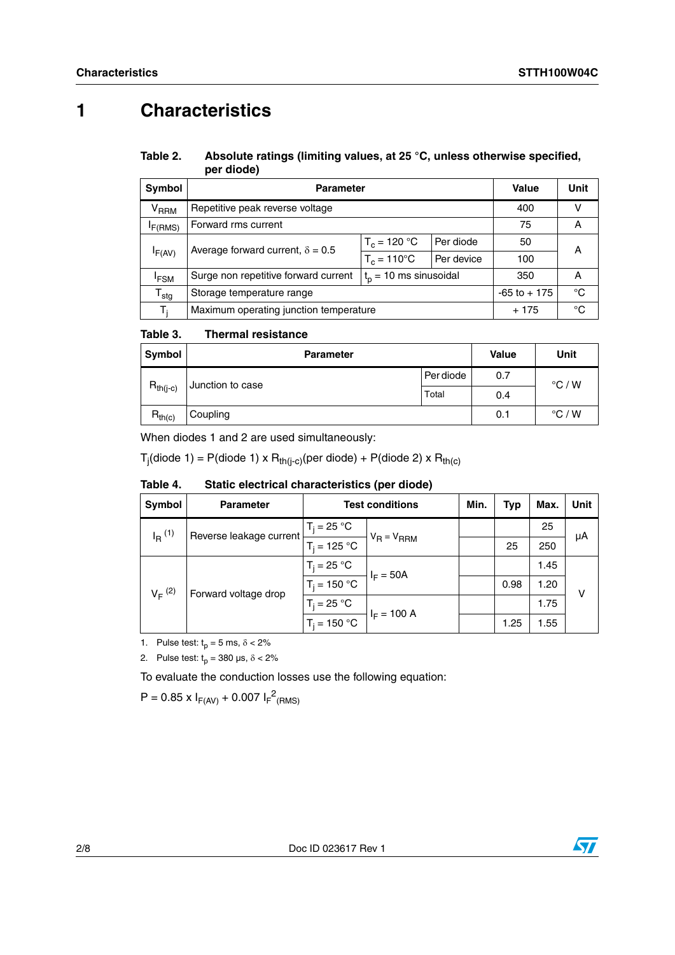## **1 Characteristics**

### Table 2. Absolute ratings (limiting values, at 25 °C, unless otherwise specified, **per diode)**

| <b>Symbol</b>          | <b>Parameter</b>                        | Value                       | Unit         |     |   |
|------------------------|-----------------------------------------|-----------------------------|--------------|-----|---|
| <b>V<sub>RRM</sub></b> | Repetitive peak reverse voltage         | 400                         |              |     |   |
| F(RMS)                 | Forward rms current                     | 75                          | Α            |     |   |
|                        | Average forward current, $\delta = 0.5$ | $T_c = 120 °C$<br>Per diode |              | 50  | А |
| IF(AV)                 |                                         | $T_c = 110^{\circ}$ C       | Per device   | 100 |   |
| <sup>I</sup> FSM       | Surge non repetitive forward current    | 350                         | A            |     |   |
| ${\tt T_{stg}}$        | Storage temperature range               | $-65$ to $+175$             | $^{\circ}$ C |     |   |
| T,                     | Maximum operating junction temperature  | $+175$                      | °C           |     |   |

#### Table 3. **Thermal resistance**

| Symbol        | <b>Parameter</b> |           | <b>Value</b> | Unit            |
|---------------|------------------|-----------|--------------|-----------------|
|               | Junction to case | Per diode | 0.7          | $\degree$ C / W |
| $R_{th(j-c)}$ |                  | Total     | 0.4          |                 |
| $R_{th(c)}$   | Coupling         |           | 0.1          | $\degree$ C / W |

When diodes 1 and 2 are used simultaneously:

T<sub>j</sub>(diode 1) = P(diode 1) x R<sub>th(j-c)</sub>(per diode) + P(diode 2) x R<sub>th(c)</sub>

| Symbol               | <b>Parameter</b>                    | <b>Test conditions</b> |                              | Min. | <b>Typ</b> | Max. | Unit |
|----------------------|-------------------------------------|------------------------|------------------------------|------|------------|------|------|
| $I_R$ <sup>(1)</sup> | Reverse leakage current             | $T_i = 25 °C$          |                              |      |            | 25   |      |
|                      | $T_i = 125 °C$                      | $V_R = V_{RRM}$        |                              | 25   | 250        | μA   |      |
|                      | $V_F^{(2)}$<br>Forward voltage drop | $T_i = 25 °C$          | $I_F = 50A$<br>$I_F = 100 A$ |      |            | 1.45 |      |
|                      |                                     | $T_i = 150 °C$         |                              |      | 0.98       | 1.20 | v    |
|                      |                                     | $T_i = 25 °C$          |                              |      |            | 1.75 |      |
|                      |                                     | $T_i = 150 °C$         |                              |      | 1.25       | 1.55 |      |

Table 4. Static electrical characteristics (per diode)

1. Pulse test:  $t_p = 5$  ms,  $\delta < 2\%$ 

2. Pulse test:  $t_p = 380 \text{ }\mu\text{s}, \delta < 2\%$ 

To evaluate the conduction losses use the following equation:

 $P = 0.85 \times I_{F(AV)} + 0.007 I_{F}^{2}$ <sub>(RMS)</sub>

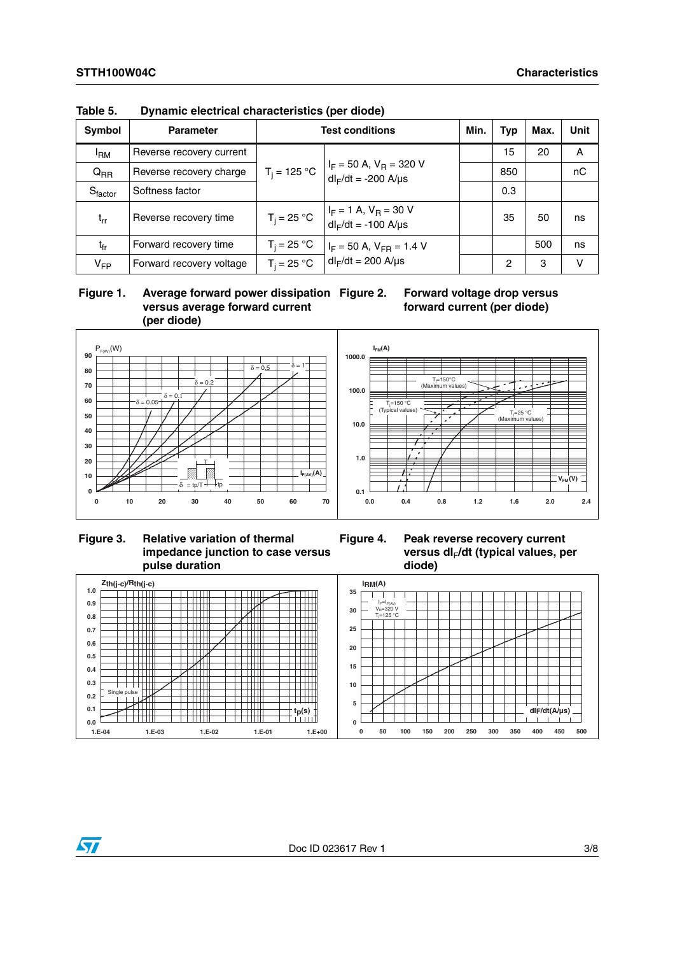| Symbol          | <b>Parameter</b>         | <b>Test conditions</b> |                                                            |  | <b>Typ</b> | Max. | <b>Unit</b> |
|-----------------|--------------------------|------------------------|------------------------------------------------------------|--|------------|------|-------------|
| <sup>I</sup> BM | Reverse recovery current |                        |                                                            |  | 15         | 20   | A           |
| $Q_{RR}$        | Reverse recovery charge  | $T_i = 125 °C$         | $I_F$ = 50 A, $V_B$ = 320 V<br>$dl_F/dt = -200$ A/ $\mu s$ |  | 850        |      | nC          |
| Sfactor         | Softness factor          |                        |                                                            |  | 0.3        |      |             |
| $t_{rr}$        | Reverse recovery time    | $T_i = 25 °C$ +        | $I_F = 1$ A, $V_R = 30$ V<br>$dl_F/dt = -100$ A/µs         |  | 35         | 50   | ns          |
| $t_{fr}$        | Forward recovery time    | $T_i = 25 °C$          | $I_F = 50$ A, $V_{FR} = 1.4$ V                             |  |            | 500  | ns          |
| $V_{FP}$        | Forward recovery voltage | $T_i = 25 °C$          | $dl_F/dt = 200$ A/ $\mu s$                                 |  | 2          | 3    | v           |

**Table 5. Dynamic electrical characteristics (per diode)**

 **Figure 1. Average forward power dissipation versus average forward current (per diode)**





**Figure 3. Relative variation of thermal impedance junction to case versus pulse duration**

**Figure 4. Peak reverse recovery current versus dI**F**/dt (typical values, per diode)**



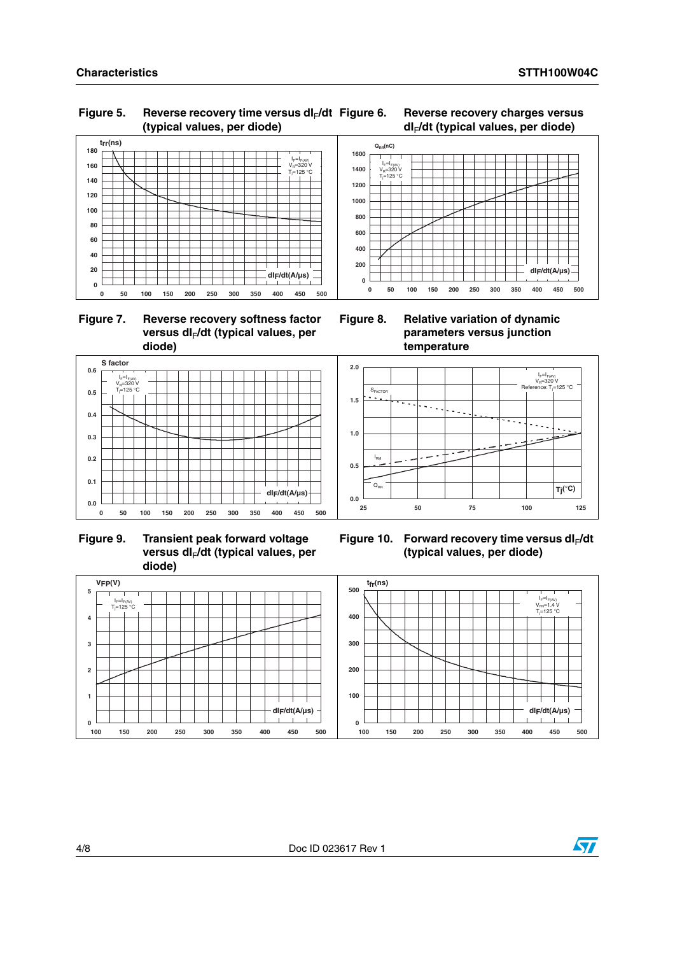### Figure 5. Reverse recovery time versus dl<sub>F</sub>/dt **(typical values, per diode)**



 **Figure 7. Reverse recovery softness factor**  versus dl<sub>F</sub>/dt (typical values, per **diode)**



 **Figure 9. Transient peak forward voltage**  versus dl<sub>F</sub>/dt (typical values, per **diode)**



**Figure 6. Reverse recovery charges versus dI**F**/dt (typical values, per diode)**

**Figure 8. Relative variation of dynamic parameters versus junction temperature**



Figure 10. Forward recovery time versus dl<sub>F</sub>/dt **(typical values, per diode)**



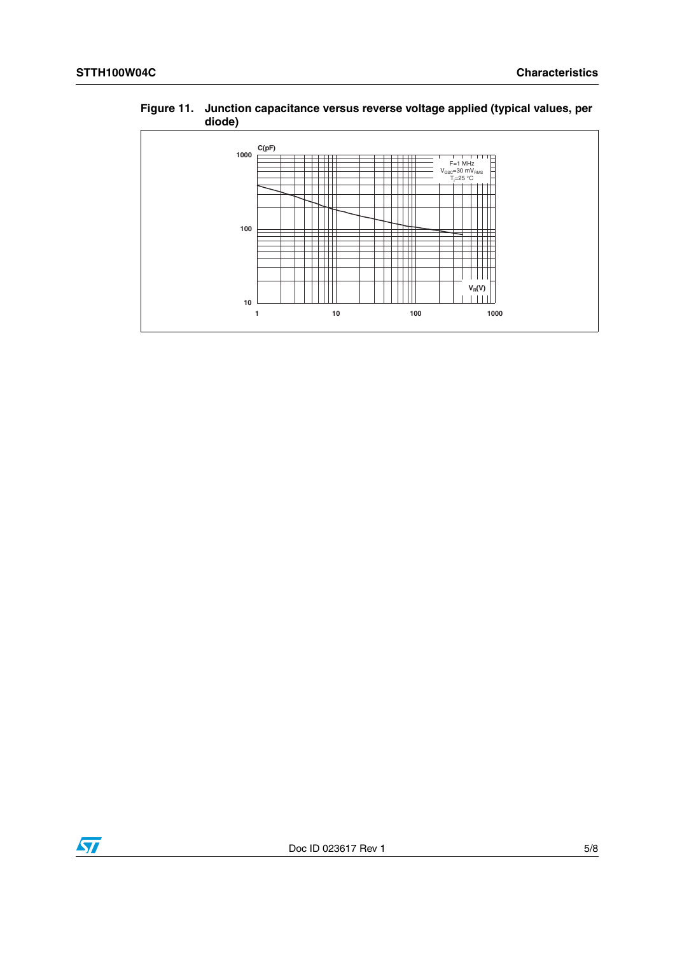



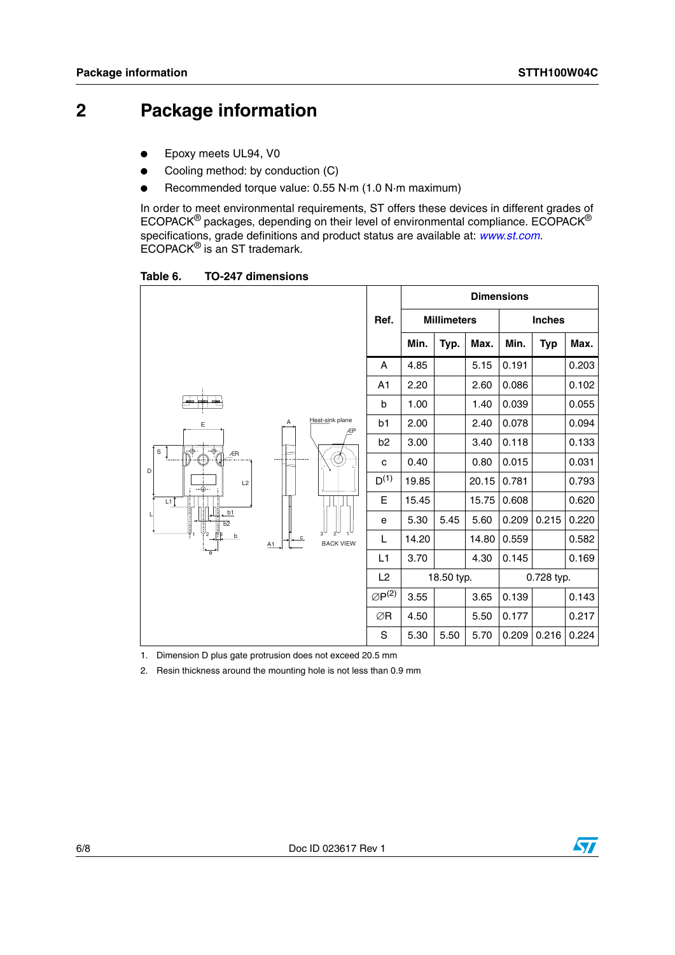## **2 Package information**

- Epoxy meets UL94, V0
- Cooling method: by conduction (C)
- Recommended torque value: 0.55 N·m (1.0 N·m maximum)

In order to meet environmental requirements, ST offers these devices in different grades of ECOPACK® packages, depending on their level of environmental compliance. ECOPACK® specifications, grade definitions and product status are available at: *[www.st.com](http://www.st.com).* ECOPACK® is an ST trademark.

Table 6. **TO-247 dimensions** 

|                                                                                |                                                             |    |                       | <b>Dimensions</b> |            |       |       |            |       |                    |  |  |               |  |
|--------------------------------------------------------------------------------|-------------------------------------------------------------|----|-----------------------|-------------------|------------|-------|-------|------------|-------|--------------------|--|--|---------------|--|
|                                                                                |                                                             |    |                       |                   |            |       |       | Ref.       |       | <b>Millimeters</b> |  |  | <b>Inches</b> |  |
|                                                                                |                                                             |    |                       | Min.              | Typ.       | Max.  | Min.  | <b>Typ</b> | Max.  |                    |  |  |               |  |
|                                                                                |                                                             |    | A                     | 4.85              |            | 5.15  | 0.191 |            | 0.203 |                    |  |  |               |  |
|                                                                                |                                                             | A1 | 2.20                  |                   | 2.60       | 0.086 |       | 0.102      |       |                    |  |  |               |  |
| $+$<br>œ<br>cim.                                                               |                                                             |    | b                     | 1.00              |            | 1.40  | 0.039 |            | 0.055 |                    |  |  |               |  |
| E                                                                              | Heat-sink plane<br>Α<br>ÆP                                  | b1 | 2.00                  |                   | 2.40       | 0.078 |       | 0.094      |       |                    |  |  |               |  |
| $\cdot \odot$ .<br>ু⊕∙<br>S                                                    |                                                             |    | b <sub>2</sub>        | 3.00              |            | 3.40  | 0.118 |            | 0.133 |                    |  |  |               |  |
| ÆR<br>Æ<br>D                                                                   |                                                             | ۵Ļ | с                     | 0.40              |            | 0.80  | 0.015 |            | 0.031 |                    |  |  |               |  |
| L2<br>$-\bigoplus \cdots$<br>L1<br>b1<br>$\overline{b2}$<br>$\mathcal{P}$<br>b |                                                             |    | $D^{(1)}$             | 19.85             |            | 20.15 | 0.781 |            | 0.793 |                    |  |  |               |  |
|                                                                                |                                                             |    | Е                     | 15.45             |            | 15.75 | 0.608 |            | 0.620 |                    |  |  |               |  |
|                                                                                |                                                             |    | е                     | 5.30              | 5.45       | 5.60  | 0.209 | 0.215      | 0.220 |                    |  |  |               |  |
|                                                                                | $2^{\frac{1}{7}}$<br>$\mathbf{C}$<br><b>BACK VIEW</b><br>A1 | L  | 14.20                 |                   | 14.80      | 0.559 |       | 0.582      |       |                    |  |  |               |  |
| $\overline{e}$                                                                 |                                                             |    | L <sub>1</sub>        | 3.70              |            | 4.30  | 0.145 |            | 0.169 |                    |  |  |               |  |
|                                                                                |                                                             |    | L2                    |                   | 18.50 typ. |       |       | 0.728 typ. |       |                    |  |  |               |  |
|                                                                                |                                                             |    | $\varnothing P^{(2)}$ | 3.55              |            | 3.65  | 0.139 |            | 0.143 |                    |  |  |               |  |
|                                                                                |                                                             |    | ∅R                    | 4.50              |            | 5.50  | 0.177 |            | 0.217 |                    |  |  |               |  |
|                                                                                |                                                             |    | S                     | 5.30              | 5.50       | 5.70  | 0.209 | 0.216      | 0.224 |                    |  |  |               |  |

1. Dimension D plus gate protrusion does not exceed 20.5 mm

2. Resin thickness around the mounting hole is not less than 0.9 mm

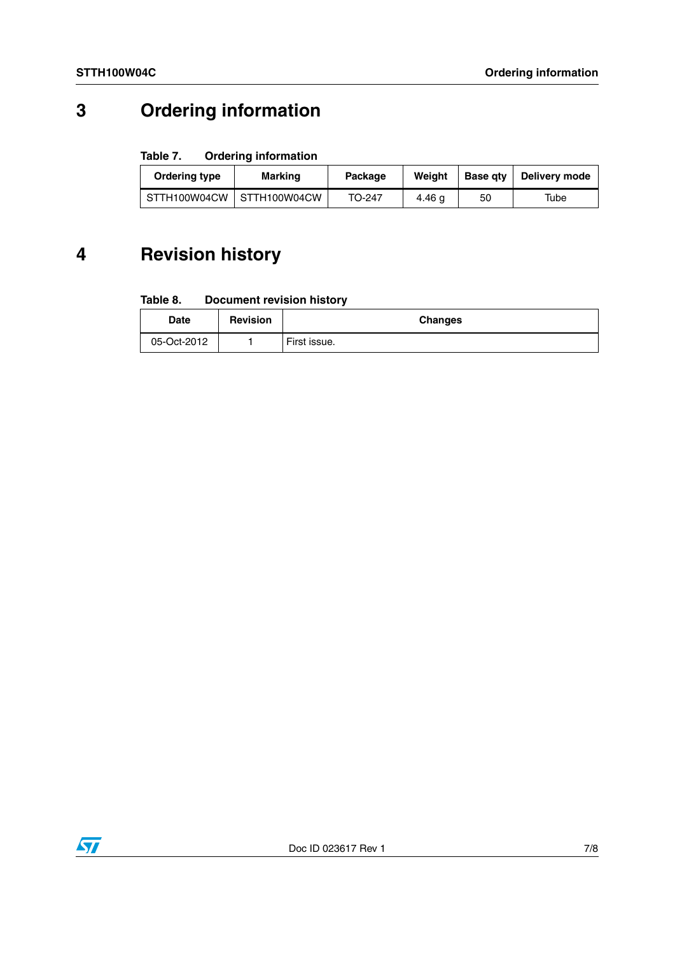## **3 Ordering information**

### Table 7. **Ordering information**

| Ordering type | Marking                   | Package | Weiaht | <b>Base gtv</b> | Deliverv mode |
|---------------|---------------------------|---------|--------|-----------------|---------------|
|               | STTH100W04CW STTH100W04CW | TO-247  | 4.46 a | 50              | Tube          |

## **4 Revision history**

#### Table 8. **Document revision history**

| Date        | <b>Revision</b> | <b>Changes</b> |
|-------------|-----------------|----------------|
| 05-Oct-2012 |                 | First issue.   |